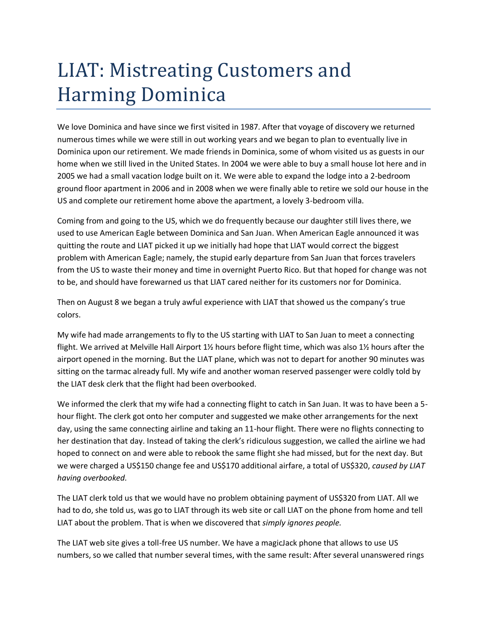## LIAT: Mistreating Customers and Harming Dominica

We love Dominica and have since we first visited in 1987. After that voyage of discovery we returned numerous times while we were still in out working years and we began to plan to eventually live in Dominica upon our retirement. We made friends in Dominica, some of whom visited us as guests in our home when we still lived in the United States. In 2004 we were able to buy a small house lot here and in 2005 we had a small vacation lodge built on it. We were able to expand the lodge into a 2-bedroom ground floor apartment in 2006 and in 2008 when we were finally able to retire we sold our house in the US and complete our retirement home above the apartment, a lovely 3-bedroom villa.

Coming from and going to the US, which we do frequently because our daughter still lives there, we used to use American Eagle between Dominica and San Juan. When American Eagle announced it was quitting the route and LIAT picked it up we initially had hope that LIAT would correct the biggest problem with American Eagle; namely, the stupid early departure from San Juan that forces travelers from the US to waste their money and time in overnight Puerto Rico. But that hoped for change was not to be, and should have forewarned us that LIAT cared neither for its customers nor for Dominica.

Then on August 8 we began a truly awful experience with LIAT that showed us the company's true colors.

My wife had made arrangements to fly to the US starting with LIAT to San Juan to meet a connecting flight. We arrived at Melville Hall Airport 1½ hours before flight time, which was also 1½ hours after the airport opened in the morning. But the LIAT plane, which was not to depart for another 90 minutes was sitting on the tarmac already full. My wife and another woman reserved passenger were coldly told by the LIAT desk clerk that the flight had been overbooked.

We informed the clerk that my wife had a connecting flight to catch in San Juan. It was to have been a 5hour flight. The clerk got onto her computer and suggested we make other arrangements for the next day, using the same connecting airline and taking an 11-hour flight. There were no flights connecting to her destination that day. Instead of taking the clerk's ridiculous suggestion, we called the airline we had hoped to connect on and were able to rebook the same flight she had missed, but for the next day. But we were charged a US\$150 change fee and US\$170 additional airfare, a total of US\$320, *caused by LIAT having overbooked.*

The LIAT clerk told us that we would have no problem obtaining payment of US\$320 from LIAT. All we had to do, she told us, was go to LIAT through its web site or call LIAT on the phone from home and tell LIAT about the problem. That is when we discovered that *simply ignores people.*

The LIAT web site gives a toll-free US number. We have a magicJack phone that allows to use US numbers, so we called that number several times, with the same result: After several unanswered rings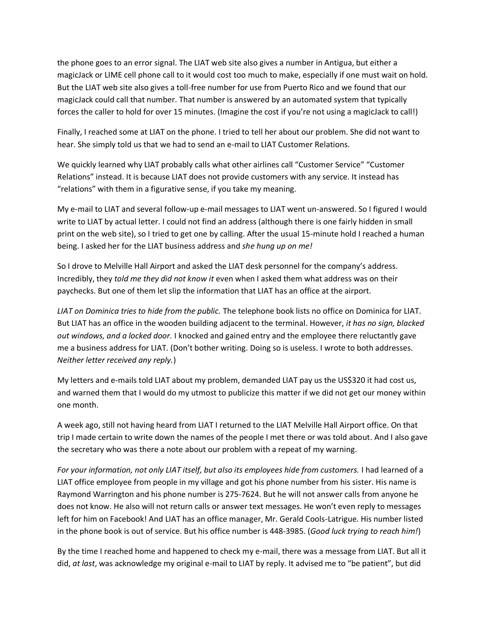the phone goes to an error signal. The LIAT web site also gives a number in Antigua, but either a magicJack or LIME cell phone call to it would cost too much to make, especially if one must wait on hold. But the LIAT web site also gives a toll-free number for use from Puerto Rico and we found that our magicJack could call that number. That number is answered by an automated system that typically forces the caller to hold for over 15 minutes. (Imagine the cost if you're not using a magicJack to call!)

Finally, I reached some at LIAT on the phone. I tried to tell her about our problem. She did not want to hear. She simply told us that we had to send an e-mail to LIAT Customer Relations.

We quickly learned why LIAT probably calls what other airlines call "Customer Service" "Customer Relations" instead. It is because LIAT does not provide customers with any service. It instead has "relations" with them in a figurative sense, if you take my meaning.

My e-mail to LIAT and several follow-up e-mail messages to LIAT went un-answered. So I figured I would write to LIAT by actual letter. I could not find an address (although there is one fairly hidden in small print on the web site), so I tried to get one by calling. After the usual 15-minute hold I reached a human being. I asked her for the LIAT business address and *she hung up on me!*

So I drove to Melville Hall Airport and asked the LIAT desk personnel for the company's address. Incredibly, they *told me they did not know it* even when I asked them what address was on their paychecks. But one of them let slip the information that LIAT has an office at the airport.

*LIAT on Dominica tries to hide from the public.* The telephone book lists no office on Dominica for LIAT. But LIAT has an office in the wooden building adjacent to the terminal. However, *it has no sign, blacked out windows, and a locked door.* I knocked and gained entry and the employee there reluctantly gave me a business address for LIAT. (Don't bother writing. Doing so is useless. I wrote to both addresses. *Neither letter received any reply.*)

My letters and e-mails told LIAT about my problem, demanded LIAT pay us the US\$320 it had cost us, and warned them that I would do my utmost to publicize this matter if we did not get our money within one month.

A week ago, still not having heard from LIAT I returned to the LIAT Melville Hall Airport office. On that trip I made certain to write down the names of the people I met there or was told about. And I also gave the secretary who was there a note about our problem with a repeat of my warning.

*For your information, not only LIAT itself, but also its employees hide from customers.* I had learned of a LIAT office employee from people in my village and got his phone number from his sister. His name is Raymond Warrington and his phone number is 275-7624. But he will not answer calls from anyone he does not know. He also will not return calls or answer text messages. He won't even reply to messages left for him on Facebook! And LIAT has an office manager, Mr. Gerald Cools-Latrigue. His number listed in the phone book is out of service. But his office number is 448-3985. (*Good luck trying to reach him!*)

By the time I reached home and happened to check my e-mail, there was a message from LIAT. But all it did, *at last*, was acknowledge my original e-mail to LIAT by reply. It advised me to "be patient", but did